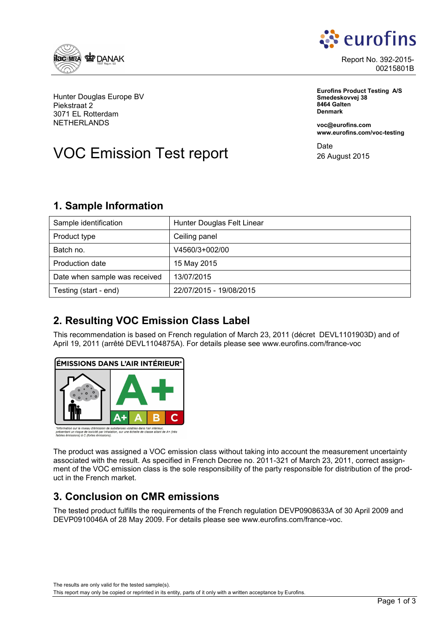



Report No. 392-2015- 00215801B

**Eurofins Product Testing A/S Smedeskovvej 38 8464 Galten Denmark**

**voc@eurofins.com www.eurofins.com/voc-testing**

**Date** 26 August 2015

Hunter Douglas Europe BV Piekstraat 2 3071 EL Rotterdam NETHERLANDS

# VOC Emission Test report

### **1. Sample Information**

| Sample identification         | Hunter Douglas Felt Linear |
|-------------------------------|----------------------------|
| Product type                  | Ceiling panel              |
| Batch no.                     | V4560/3+002/00             |
| Production date               | 15 May 2015                |
| Date when sample was received | 13/07/2015                 |
| Testing (start - end)         | 22/07/2015 - 19/08/2015    |

### **2. Resulting VOC Emission Class Label**

This recommendation is based on French regulation of March 23, 2011 (décret DEVL1101903D) and of April 19, 2011 (arrêté DEVL1104875A). For details please see www.eurofins.com/france-voc



ation sur le niveau d'émission de substances volatiles dans l'air intérieur,<br>ant un risque de toxicité par inhalation, sur une échelle de classe allant de A+ (très<br>émissions) à C (fortes émissions).

The product was assigned a VOC emission class without taking into account the measurement uncertainty associated with the result. As specified in French Decree no. 2011-321 of March 23, 2011, correct assignment of the VOC emission class is the sole responsibility of the party responsible for distribution of the product in the French market.

### **3. Conclusion on CMR emissions**

The tested product fulfills the requirements of the French regulation DEVP0908633A of 30 April 2009 and DEVP0910046A of 28 May 2009. For details please see www.eurofins.com/france-voc.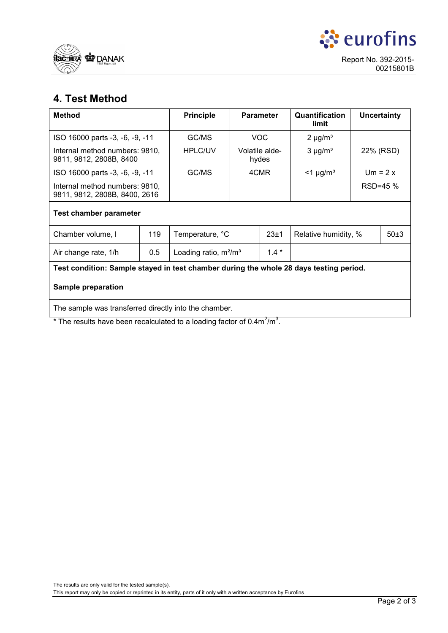



## **4. Test Method**

| <b>Method</b>                                                                          |     | <b>Principle</b>         | <b>Parameter</b>        |        | Quantification<br>limit | <b>Uncertainty</b> |      |  |  |  |
|----------------------------------------------------------------------------------------|-----|--------------------------|-------------------------|--------|-------------------------|--------------------|------|--|--|--|
| ISO 16000 parts -3, -6, -9, -11                                                        |     | GC/MS                    | <b>VOC</b>              |        | $2 \mu g/m^3$           |                    |      |  |  |  |
| Internal method numbers: 9810,<br>9811, 9812, 2808B, 8400                              |     | <b>HPLC/UV</b>           | Volatile alde-<br>hydes |        | $3 \mu g/m^3$           | 22% (RSD)          |      |  |  |  |
| ISO 16000 parts -3, -6, -9, -11                                                        |     | GC/MS                    | 4CMR                    |        | $<$ 1 µg/m <sup>3</sup> | $Um = 2x$          |      |  |  |  |
| Internal method numbers: 9810,<br>9811, 9812, 2808B, 8400, 2616                        |     |                          |                         |        |                         | RSD=45 %           |      |  |  |  |
| Test chamber parameter                                                                 |     |                          |                         |        |                         |                    |      |  |  |  |
| Chamber volume, I                                                                      | 119 | Temperature, °C          |                         | 23±1   | Relative humidity, %    |                    | 50±3 |  |  |  |
| Air change rate, 1/h                                                                   | 0.5 | Loading ratio, $m^2/m^3$ |                         | $1.4*$ |                         |                    |      |  |  |  |
| Test condition: Sample stayed in test chamber during the whole 28 days testing period. |     |                          |                         |        |                         |                    |      |  |  |  |
| Sample preparation                                                                     |     |                          |                         |        |                         |                    |      |  |  |  |
| The sample was transferred directly into the chamber.                                  |     |                          |                         |        |                         |                    |      |  |  |  |

\* The results have been recalculated to a loading factor of  $0.4 \text{m}^2/\text{m}^3$ .